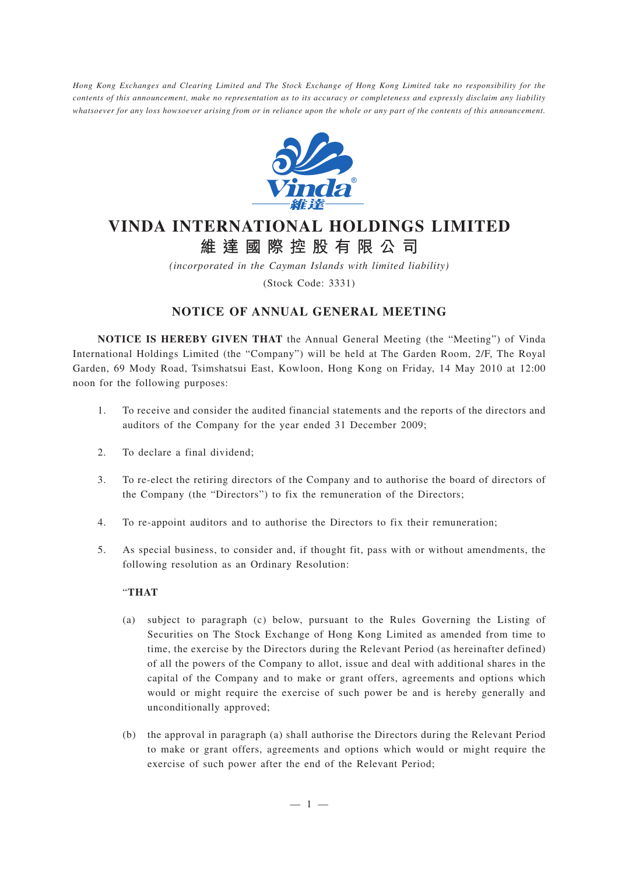*Hong Kong Exchanges and Clearing Limited and The Stock Exchange of Hong Kong Limited take no responsibility for the contents of this announcement, make no representation as to its accuracy or completeness and expressly disclaim any liability whatsoever for any loss howsoever arising from or in reliance upon the whole or any part of the contents of this announcement.*



# **VINDA INTERNATIONAL HOLDINGS LIMITED 維達國際控股有限公司**

*(incorporated in the Cayman Islands with limited liability)* (Stock Code: 3331)

## **NOTICE OF ANNUAL GENERAL MEETING**

**NOTICE IS HEREBY GIVEN THAT** the Annual General Meeting (the "Meeting") of Vinda International Holdings Limited (the "Company") will be held at The Garden Room, 2/F, The Royal Garden, 69 Mody Road, Tsimshatsui East, Kowloon, Hong Kong on Friday, 14 May 2010 at 12:00 noon for the following purposes:

- 1. To receive and consider the audited financial statements and the reports of the directors and auditors of the Company for the year ended 31 December 2009;
- 2. To declare a final dividend;
- 3. To re-elect the retiring directors of the Company and to authorise the board of directors of the Company (the "Directors") to fix the remuneration of the Directors;
- 4. To re-appoint auditors and to authorise the Directors to fix their remuneration;
- 5. As special business, to consider and, if thought fit, pass with or without amendments, the following resolution as an Ordinary Resolution:

#### "**THAT**

- (a) subject to paragraph (c) below, pursuant to the Rules Governing the Listing of Securities on The Stock Exchange of Hong Kong Limited as amended from time to time, the exercise by the Directors during the Relevant Period (as hereinafter defined) of all the powers of the Company to allot, issue and deal with additional shares in the capital of the Company and to make or grant offers, agreements and options which would or might require the exercise of such power be and is hereby generally and unconditionally approved;
- (b) the approval in paragraph (a) shall authorise the Directors during the Relevant Period to make or grant offers, agreements and options which would or might require the exercise of such power after the end of the Relevant Period;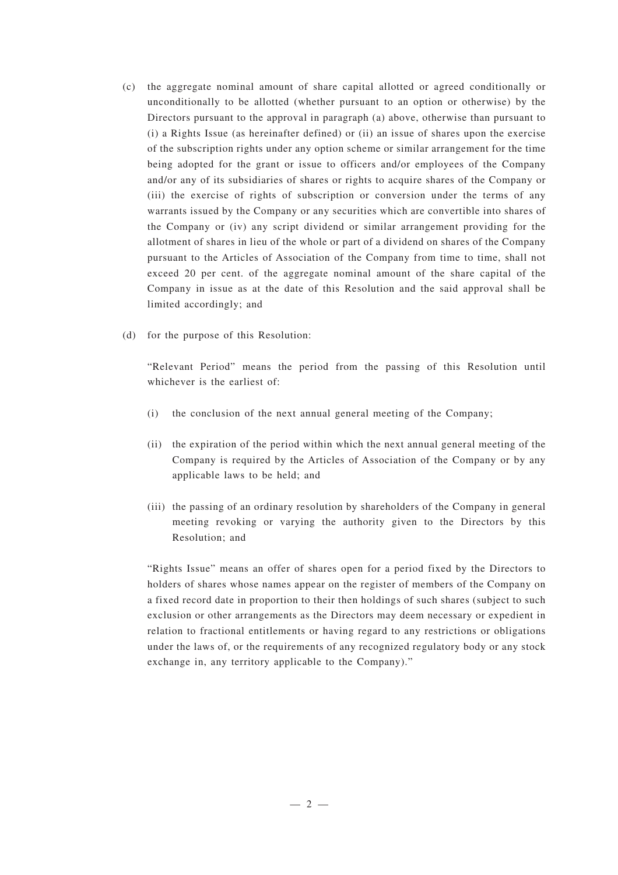- (c) the aggregate nominal amount of share capital allotted or agreed conditionally or unconditionally to be allotted (whether pursuant to an option or otherwise) by the Directors pursuant to the approval in paragraph (a) above, otherwise than pursuant to (i) a Rights Issue (as hereinafter defined) or (ii) an issue of shares upon the exercise of the subscription rights under any option scheme or similar arrangement for the time being adopted for the grant or issue to officers and/or employees of the Company and/or any of its subsidiaries of shares or rights to acquire shares of the Company or (iii) the exercise of rights of subscription or conversion under the terms of any warrants issued by the Company or any securities which are convertible into shares of the Company or (iv) any script dividend or similar arrangement providing for the allotment of shares in lieu of the whole or part of a dividend on shares of the Company pursuant to the Articles of Association of the Company from time to time, shall not exceed 20 per cent. of the aggregate nominal amount of the share capital of the Company in issue as at the date of this Resolution and the said approval shall be limited accordingly; and
- (d) for the purpose of this Resolution:

"Relevant Period" means the period from the passing of this Resolution until whichever is the earliest of:

- (i) the conclusion of the next annual general meeting of the Company;
- (ii) the expiration of the period within which the next annual general meeting of the Company is required by the Articles of Association of the Company or by any applicable laws to be held; and
- (iii) the passing of an ordinary resolution by shareholders of the Company in general meeting revoking or varying the authority given to the Directors by this Resolution; and

"Rights Issue" means an offer of shares open for a period fixed by the Directors to holders of shares whose names appear on the register of members of the Company on a fixed record date in proportion to their then holdings of such shares (subject to such exclusion or other arrangements as the Directors may deem necessary or expedient in relation to fractional entitlements or having regard to any restrictions or obligations under the laws of, or the requirements of any recognized regulatory body or any stock exchange in, any territory applicable to the Company)."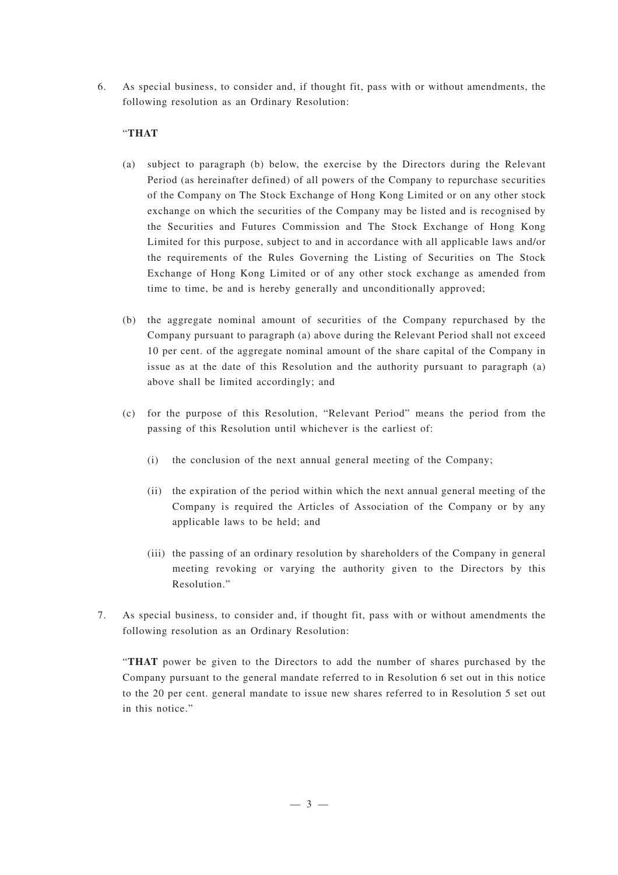6. As special business, to consider and, if thought fit, pass with or without amendments, the following resolution as an Ordinary Resolution:

### "**THAT**

- (a) subject to paragraph (b) below, the exercise by the Directors during the Relevant Period (as hereinafter defined) of all powers of the Company to repurchase securities of the Company on The Stock Exchange of Hong Kong Limited or on any other stock exchange on which the securities of the Company may be listed and is recognised by the Securities and Futures Commission and The Stock Exchange of Hong Kong Limited for this purpose, subject to and in accordance with all applicable laws and/or the requirements of the Rules Governing the Listing of Securities on The Stock Exchange of Hong Kong Limited or of any other stock exchange as amended from time to time, be and is hereby generally and unconditionally approved;
- (b) the aggregate nominal amount of securities of the Company repurchased by the Company pursuant to paragraph (a) above during the Relevant Period shall not exceed 10 per cent. of the aggregate nominal amount of the share capital of the Company in issue as at the date of this Resolution and the authority pursuant to paragraph (a) above shall be limited accordingly; and
- (c) for the purpose of this Resolution, "Relevant Period" means the period from the passing of this Resolution until whichever is the earliest of:
	- (i) the conclusion of the next annual general meeting of the Company;
	- (ii) the expiration of the period within which the next annual general meeting of the Company is required the Articles of Association of the Company or by any applicable laws to be held; and
	- (iii) the passing of an ordinary resolution by shareholders of the Company in general meeting revoking or varying the authority given to the Directors by this Resolution."
- 7. As special business, to consider and, if thought fit, pass with or without amendments the following resolution as an Ordinary Resolution:

"**THAT** power be given to the Directors to add the number of shares purchased by the Company pursuant to the general mandate referred to in Resolution 6 set out in this notice to the 20 per cent. general mandate to issue new shares referred to in Resolution 5 set out in this notice."